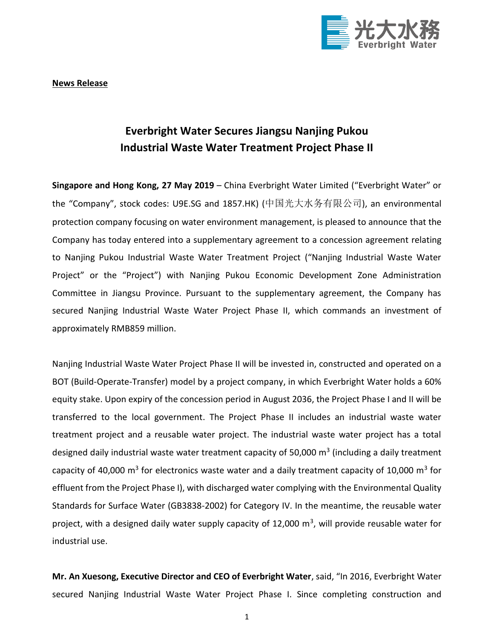

**News Release**

## **Everbright Water Secures Jiangsu Nanjing Pukou Industrial Waste Water Treatment Project Phase II**

**Singapore and Hong Kong, 27 May 2019** – China Everbright Water Limited ("Everbright Water" or the "Company", stock codes: U9E.SG and 1857.HK) (中国光大水务有限公司), an environmental protection company focusing on water environment management, is pleased to announce that the Company has today entered into a supplementary agreement to a concession agreement relating to Nanjing Pukou Industrial Waste Water Treatment Project ("Nanjing Industrial Waste Water Project" or the "Project") with Nanjing Pukou Economic Development Zone Administration Committee in Jiangsu Province. Pursuant to the supplementary agreement, the Company has secured Nanjing Industrial Waste Water Project Phase II, which commands an investment of approximately RMB859 million.

Nanjing Industrial Waste Water Project Phase II will be invested in, constructed and operated on a BOT (Build-Operate-Transfer) model by a project company, in which Everbright Water holds a 60% equity stake. Upon expiry of the concession period in August 2036, the Project Phase I and II will be transferred to the local government. The Project Phase II includes an industrial waste water treatment project and a reusable water project. The industrial waste water project has a total designed daily industrial waste water treatment capacity of 50,000  $\text{m}^3$  (including a daily treatment capacity of 40,000 m<sup>3</sup> for electronics waste water and a daily treatment capacity of 10,000 m<sup>3</sup> for effluent from the Project Phase I), with discharged water complying with the Environmental Quality Standards for Surface Water (GB3838-2002) for Category IV. In the meantime, the reusable water project, with a designed daily water supply capacity of 12,000 m<sup>3</sup>, will provide reusable water for industrial use.

**Mr. An Xuesong, Executive Director and CEO of Everbright Water**, said, "In 2016, Everbright Water secured Nanjing Industrial Waste Water Project Phase I. Since completing construction and